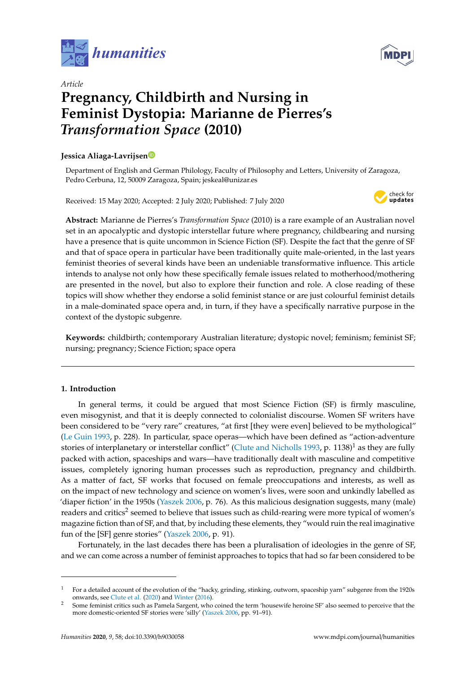



# *Article* **Pregnancy, Childbirth and Nursing in Feminist Dystopia: Marianne de Pierres's** *Transformation Space* **(2010)**

# **Jessica Aliaga-Lavrijse[n](https://orcid.org/0000-0001-9537-9727)**

Department of English and German Philology, Faculty of Philosophy and Letters, University of Zaragoza, Pedro Cerbuna, 12, 50009 Zaragoza, Spain; jeskeal@unizar.es

Received: 15 May 2020; Accepted: 2 July 2020; Published: 7 July 2020



**Abstract:** Marianne de Pierres's *Transformation Space* (2010) is a rare example of an Australian novel set in an apocalyptic and dystopic interstellar future where pregnancy, childbearing and nursing have a presence that is quite uncommon in Science Fiction (SF). Despite the fact that the genre of SF and that of space opera in particular have been traditionally quite male-oriented, in the last years feminist theories of several kinds have been an undeniable transformative influence. This article intends to analyse not only how these specifically female issues related to motherhood/mothering are presented in the novel, but also to explore their function and role. A close reading of these topics will show whether they endorse a solid feminist stance or are just colourful feminist details in a male-dominated space opera and, in turn, if they have a specifically narrative purpose in the context of the dystopic subgenre.

**Keywords:** childbirth; contemporary Australian literature; dystopic novel; feminism; feminist SF; nursing; pregnancy; Science Fiction; space opera

# **1. Introduction**

In general terms, it could be argued that most Science Fiction (SF) is firmly masculine, even misogynist, and that it is deeply connected to colonialist discourse. Women SF writers have been considered to be "very rare" creatures, "at first [they were even] believed to be mythological" [\(Le Guin](#page-11-0) [1993,](#page-11-0) p. 228). In particular, space operas—which have been defined as "action-adventure stories of interplanetary or interstellar conflict" [\(Clute and Nicholls](#page-10-0) [1993,](#page-10-0) p. 1138)<sup>1</sup> as they are fully packed with action, spaceships and wars—have traditionally dealt with masculine and competitive issues, completely ignoring human processes such as reproduction, pregnancy and childbirth. As a matter of fact, SF works that focused on female preoccupations and interests, as well as on the impact of new technology and science on women's lives, were soon and unkindly labelled as 'diaper fiction' in the 1950s [\(Yaszek](#page-12-0) [2006,](#page-12-0) p. 76). As this malicious designation suggests, many (male) readers and critics<sup>2</sup> seemed to believe that issues such as child-rearing were more typical of women's magazine fiction than of SF, and that, by including these elements, they "would ruin the real imaginative fun of the [SF] genre stories" [\(Yaszek](#page-12-0) [2006,](#page-12-0) p. 91).

Fortunately, in the last decades there has been a pluralisation of ideologies in the genre of SF, and we can come across a number of feminist approaches to topics that had so far been considered to be

<sup>&</sup>lt;sup>1</sup> For a detailed account of the evolution of the "hacky, grinding, stinking, outworn, spaceship yarn" subgenre from the 1920s onwards, see [Clute et al.](#page-10-1) [\(2020\)](#page-10-1) and [Winter](#page-12-1) [\(2016\)](#page-12-1).

<sup>2</sup> Some feminist critics such as Pamela Sargent, who coined the term 'housewife heroine SF' also seemed to perceive that the more domestic-oriented SF stories were 'silly' [\(Yaszek](#page-12-0) [2006,](#page-12-0) pp. 91–91).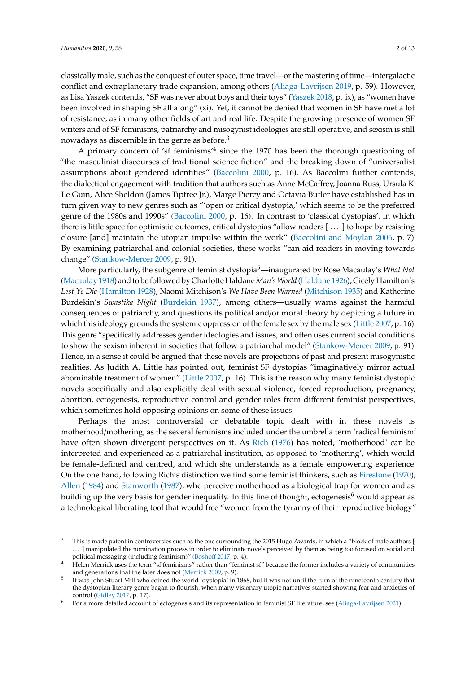classically male, such as the conquest of outer space, time travel—or the mastering of time—intergalactic conflict and extraplanetary trade expansion, among others [\(Aliaga-Lavrijsen](#page-10-2) [2019,](#page-10-2) p. 59). However, as Lisa Yaszek contends, "SF was never about boys and their toys" [\(Yaszek](#page-12-2) [2018,](#page-12-2) p. ix), as "women have been involved in shaping SF all along" (xi). Yet, it cannot be denied that women in SF have met a lot of resistance, as in many other fields of art and real life. Despite the growing presence of women SF writers and of SF feminisms, patriarchy and misogynist ideologies are still operative, and sexism is still nowadays as discernible in the genre as before.<sup>3</sup>

A primary concern of 'sf feminisms'<sup>4</sup> since the 1970 has been the thorough questioning of "the masculinist discourses of traditional science fiction" and the breaking down of "universalist assumptions about gendered identities" [\(Baccolini](#page-10-3) [2000,](#page-10-3) p. 16). As Baccolini further contends, the dialectical engagement with tradition that authors such as Anne McCaffrey, Joanna Russ, Ursula K. Le Guin, Alice Sheldon (James Tiptree Jr.), Marge Piercy and Octavia Butler have established has in turn given way to new genres such as "'open or critical dystopia,' which seems to be the preferred genre of the 1980s and 1990s" [\(Baccolini](#page-10-3) [2000,](#page-10-3) p. 16). In contrast to 'classical dystopias', in which there is little space for optimistic outcomes, critical dystopias "allow readers [ . . . ] to hope by resisting closure [and] maintain the utopian impulse within the work" [\(Baccolini and Moylan](#page-10-4) [2006,](#page-10-4) p. 7). By examining patriarchal and colonial societies, these works "can aid readers in moving towards change" [\(Stankow-Mercer](#page-12-3) [2009,](#page-12-3) p. 91).

More particularly, the subgenre of feminist dystopia5—inaugurated by Rose Macaulay's *What Not* [\(Macaulay](#page-11-1) [1918\)](#page-11-1) and to be followed by Charlotte Haldane*Man'sWorld* [\(Haldane](#page-11-2) [1926\)](#page-11-2), Cicely Hamilton's *Lest Ye Die* [\(Hamilton](#page-11-3) [1928\)](#page-11-3), Naomi Mitchison's *We Have Been Warned* [\(Mitchison](#page-11-4) [1935\)](#page-11-4) and Katherine Burdekin's *Swastika Night* [\(Burdekin](#page-10-5) [1937\)](#page-10-5), among others—usually warns against the harmful consequences of patriarchy, and questions its political and/or moral theory by depicting a future in which this ideology grounds the systemic oppression of the female sex by the male sex [\(Little](#page-11-5) [2007,](#page-11-5) p. 16). This genre "specifically addresses gender ideologies and issues, and often uses current social conditions to show the sexism inherent in societies that follow a patriarchal model" [\(Stankow-Mercer](#page-12-3) [2009,](#page-12-3) p. 91). Hence, in a sense it could be argued that these novels are projections of past and present misogynistic realities. As Judith A. Little has pointed out, feminist SF dystopias "imaginatively mirror actual abominable treatment of women" [\(Little](#page-11-5) [2007,](#page-11-5) p. 16). This is the reason why many feminist dystopic novels specifically and also explicitly deal with sexual violence, forced reproduction, pregnancy, abortion, ectogenesis, reproductive control and gender roles from different feminist perspectives, which sometimes hold opposing opinions on some of these issues.

Perhaps the most controversial or debatable topic dealt with in these novels is motherhood/mothering, as the several feminisms included under the umbrella term 'radical feminism' have often shown divergent perspectives on it. As [Rich](#page-12-4) [\(1976\)](#page-12-4) has noted, 'motherhood' can be interpreted and experienced as a patriarchal institution, as opposed to 'mothering', which would be female-defined and centred, and which she understands as a female empowering experience. On the one hand, following Rich's distinction we find some feminist thinkers, such as [Firestone](#page-11-6) [\(1970\)](#page-11-6), [Allen](#page-10-6) [\(1984\)](#page-10-6) and [Stanworth](#page-12-5) [\(1987\)](#page-12-5), who perceive motherhood as a biological trap for women and as building up the very basis for gender inequality. In this line of thought, ectogenesis<sup>6</sup> would appear as a technological liberating tool that would free "women from the tyranny of their reproductive biology"

<sup>&</sup>lt;sup>3</sup> This is made patent in controversies such as the one surrounding the 2015 Hugo Awards, in which a "block of male authors [ . . . ] manipulated the nomination process in order to eliminate novels perceived by them as being too focused on social and political messaging (including feminism)" [\(Bosho](#page-10-7)ff [2017,](#page-10-7) p. 4).

<sup>&</sup>lt;sup>4</sup> Helen Merrick uses the term "sf feminisms" rather than "feminist sf" because the former includes a variety of communities and generations that the later does not [\(Merrick](#page-11-7) [2009,](#page-11-7) p. 9).

<sup>5</sup> It was John Stuart Mill who coined the world 'dystopia' in 1868, but it was not until the turn of the nineteenth century that the dystopian literary genre began to flourish, when many visionary utopic narratives started showing fear and anxieties of control [\(Gidley](#page-11-8) [2017,](#page-11-8) p. 17).

<sup>6</sup> For a more detailed account of ectogenesis and its representation in feminist SF literature, see [\(Aliaga-Lavrijsen](#page-10-8) [2021\)](#page-10-8).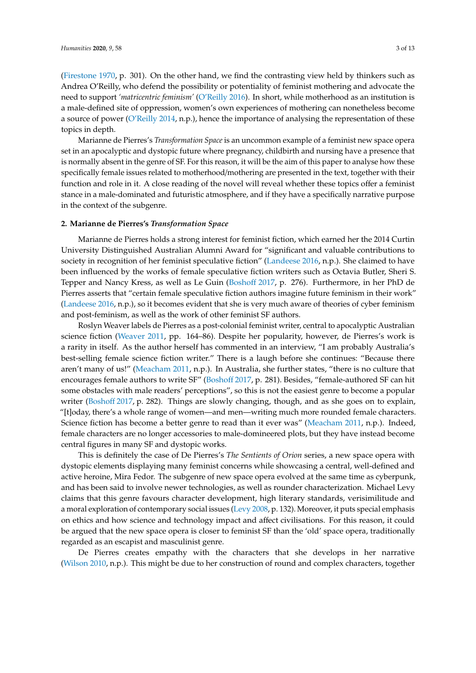[\(Firestone](#page-11-6) [1970,](#page-11-6) p. 301). On the other hand, we find the contrasting view held by thinkers such as Andrea O'Reilly, who defend the possibility or potentiality of feminist mothering and advocate the need to support *'matricentric feminism'* [\(O'Reilly](#page-11-9) [2016\)](#page-11-9). In short, while motherhood as an institution is a male-defined site of oppression, women's own experiences of mothering can nonetheless become a source of power [\(O'Reilly](#page-11-10) [2014,](#page-11-10) n.p.), hence the importance of analysing the representation of these topics in depth.

Marianne de Pierres's *Transformation Space* is an uncommon example of a feminist new space opera set in an apocalyptic and dystopic future where pregnancy, childbirth and nursing have a presence that is normally absent in the genre of SF. For this reason, it will be the aim of this paper to analyse how these specifically female issues related to motherhood/mothering are presented in the text, together with their function and role in it. A close reading of the novel will reveal whether these topics offer a feminist stance in a male-dominated and futuristic atmosphere, and if they have a specifically narrative purpose in the context of the subgenre.

## **2. Marianne de Pierres's** *Transformation Space*

Marianne de Pierres holds a strong interest for feminist fiction, which earned her the 2014 Curtin University Distinguished Australian Alumni Award for "significant and valuable contributions to society in recognition of her feminist speculative fiction" [\(Landeese](#page-11-11) [2016,](#page-11-11) n.p.). She claimed to have been influenced by the works of female speculative fiction writers such as Octavia Butler, Sheri S. Tepper and Nancy Kress, as well as Le Guin [\(Bosho](#page-10-7)ff [2017,](#page-10-7) p. 276). Furthermore, in her PhD de Pierres asserts that "certain female speculative fiction authors imagine future feminism in their work" [\(Landeese](#page-11-11) [2016,](#page-11-11) n.p.), so it becomes evident that she is very much aware of theories of cyber feminism and post-feminism, as well as the work of other feminist SF authors.

Roslyn Weaver labels de Pierres as a post-colonial feminist writer, central to apocalyptic Australian science fiction [\(Weaver](#page-12-6) [2011,](#page-12-6) pp. 164–86). Despite her popularity, however, de Pierres's work is a rarity in itself. As the author herself has commented in an interview, "I am probably Australia's best-selling female science fiction writer." There is a laugh before she continues: "Because there aren't many of us!" [\(Meacham](#page-11-12) [2011,](#page-11-12) n.p.). In Australia, she further states, "there is no culture that encourages female authors to write SF" [\(Bosho](#page-10-7)ff [2017,](#page-10-7) p. 281). Besides, "female-authored SF can hit some obstacles with male readers' perceptions", so this is not the easiest genre to become a popular writer [\(Bosho](#page-10-7)ff [2017,](#page-10-7) p. 282). Things are slowly changing, though, and as she goes on to explain, "[t]oday, there's a whole range of women—and men—writing much more rounded female characters. Science fiction has become a better genre to read than it ever was" [\(Meacham](#page-11-12) [2011,](#page-11-12) n.p.). Indeed, female characters are no longer accessories to male-domineered plots, but they have instead become central figures in many SF and dystopic works.

This is definitely the case of De Pierres's *The Sentients of Orion* series, a new space opera with dystopic elements displaying many feminist concerns while showcasing a central, well-defined and active heroine, Mira Fedor. The subgenre of new space opera evolved at the same time as cyberpunk, and has been said to involve newer technologies, as well as rounder characterization. Michael Levy claims that this genre favours character development, high literary standards, verisimilitude and a moral exploration of contemporary social issues [\(Levy](#page-11-13) [2008,](#page-11-13) p. 132). Moreover, it puts special emphasis on ethics and how science and technology impact and affect civilisations. For this reason, it could be argued that the new space opera is closer to feminist SF than the 'old' space opera, traditionally regarded as an escapist and masculinist genre.

De Pierres creates empathy with the characters that she develops in her narrative [\(Wilson](#page-12-7) [2010,](#page-12-7) n.p.). This might be due to her construction of round and complex characters, together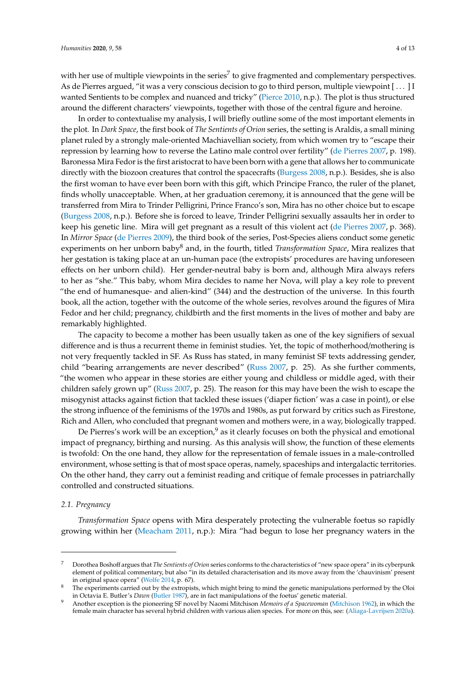with her use of multiple viewpoints in the series<sup>7</sup> to give fragmented and complementary perspectives. As de Pierres argued, "it was a very conscious decision to go to third person, multiple viewpoint [ . . . ] I wanted Sentients to be complex and nuanced and tricky" [\(Pierce](#page-12-8) [2010,](#page-12-8) n.p.). The plot is thus structured around the different characters' viewpoints, together with those of the central figure and heroine.

In order to contextualise my analysis, I will briefly outline some of the most important elements in the plot. In *Dark Space*, the first book of *The Sentients of Orion* series, the setting is Araldis, a small mining planet ruled by a strongly male-oriented Machiavellian society, from which women try to "escape their repression by learning how to reverse the Latino male control over fertility" [\(de Pierres](#page-10-9) [2007,](#page-10-9) p. 198). Baronessa Mira Fedor is the first aristocrat to have been born with a gene that allows her to communicate directly with the biozoon creatures that control the spacecrafts [\(Burgess](#page-10-10) [2008,](#page-10-10) n.p.). Besides, she is also the first woman to have ever been born with this gift, which Principe Franco, the ruler of the planet, finds wholly unacceptable. When, at her graduation ceremony, it is announced that the gene will be transferred from Mira to Trinder Pelligrini, Prince Franco's son, Mira has no other choice but to escape [\(Burgess](#page-10-10) [2008,](#page-10-10) n.p.). Before she is forced to leave, Trinder Pelligrini sexually assaults her in order to keep his genetic line. Mira will get pregnant as a result of this violent act [\(de Pierres](#page-10-9) [2007,](#page-10-9) p. 368). In *Mirror Space* [\(de Pierres](#page-10-11) [2009\)](#page-10-11), the third book of the series, Post-Species aliens conduct some genetic experiments on her unborn baby<sup>8</sup> and, in the fourth, titled *Transformation Space*, Mira realizes that her gestation is taking place at an un-human pace (the extropists' procedures are having unforeseen effects on her unborn child). Her gender-neutral baby is born and, although Mira always refers to her as "she." This baby, whom Mira decides to name her Nova, will play a key role to prevent "the end of humanesque- and alien-kind" (344) and the destruction of the universe. In this fourth book, all the action, together with the outcome of the whole series, revolves around the figures of Mira Fedor and her child; pregnancy, childbirth and the first moments in the lives of mother and baby are remarkably highlighted.

The capacity to become a mother has been usually taken as one of the key signifiers of sexual difference and is thus a recurrent theme in feminist studies. Yet, the topic of motherhood/mothering is not very frequently tackled in SF. As Russ has stated, in many feminist SF texts addressing gender, child "bearing arrangements are never described" [\(Russ](#page-12-9) [2007,](#page-12-9) p. 25). As she further comments, "the women who appear in these stories are either young and childless or middle aged, with their children safely grown up" [\(Russ](#page-12-9) [2007,](#page-12-9) p. 25). The reason for this may have been the wish to escape the misogynist attacks against fiction that tackled these issues ('diaper fiction' was a case in point), or else the strong influence of the feminisms of the 1970s and 1980s, as put forward by critics such as Firestone, Rich and Allen, who concluded that pregnant women and mothers were, in a way, biologically trapped.

De Pierres's work will be an exception, $9$  as it clearly focuses on both the physical and emotional impact of pregnancy, birthing and nursing. As this analysis will show, the function of these elements is twofold: On the one hand, they allow for the representation of female issues in a male-controlled environment, whose setting is that of most space operas, namely, spaceships and intergalactic territories. On the other hand, they carry out a feminist reading and critique of female processes in patriarchally controlled and constructed situations.

## *2.1. Pregnancy*

*Transformation Space* opens with Mira desperately protecting the vulnerable foetus so rapidly growing within her [\(Meacham](#page-11-12) [2011,](#page-11-12) n.p.): Mira "had begun to lose her pregnancy waters in the

<sup>7</sup> Dorothea Boshoff argues that *The Sentients of Orion* series conforms to the characteristics of "new space opera" in its cyberpunk element of political commentary, but also "in its detailed characterisation and its move away from the 'chauvinism' present in original space opera" [\(Wolfe](#page-12-10) [2014,](#page-12-10) p. 67).

<sup>8</sup> The experiments carried out by the extropists, which might bring to mind the genetic manipulations performed by the Oloi in Octavia E. Butler's *Dawn* [\(Butler](#page-10-12) [1987\)](#page-10-12), are in fact manipulations of the foetus' genetic material.

<sup>9</sup> Another exception is the pioneering SF novel by Naomi Mitchison *Memoirs of a Spacewoman* [\(Mitchison](#page-11-14) [1962\)](#page-11-14), in which the female main character has several hybrid children with various alien species. For more on this, see: [\(Aliaga-Lavrijsen](#page-10-13) [2020a\)](#page-10-13).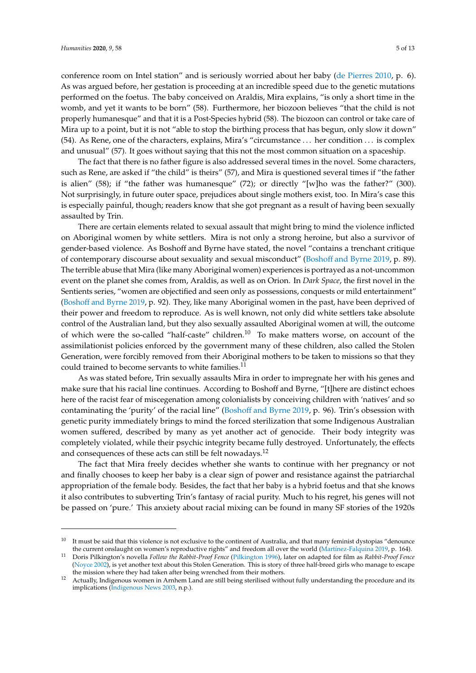conference room on Intel station" and is seriously worried about her baby [\(de Pierres](#page-10-14) [2010,](#page-10-14) p. 6). As was argued before, her gestation is proceeding at an incredible speed due to the genetic mutations performed on the foetus. The baby conceived on Araldis, Mira explains, "is only a short time in the womb, and yet it wants to be born" (58). Furthermore, her biozoon believes "that the child is not properly humanesque" and that it is a Post-Species hybrid (58). The biozoon can control or take care of Mira up to a point, but it is not "able to stop the birthing process that has begun, only slow it down" (54). As Rene, one of the characters, explains, Mira's "circumstance . . . her condition . . . is complex and unusual" (57). It goes without saying that this not the most common situation on a spaceship.

The fact that there is no father figure is also addressed several times in the novel. Some characters, such as Rene, are asked if "the child" is theirs" (57), and Mira is questioned several times if "the father is alien" (58); if "the father was humanesque" (72); or directly "[w]ho was the father?" (300). Not surprisingly, in future outer space, prejudices about single mothers exist, too. In Mira's case this is especially painful, though; readers know that she got pregnant as a result of having been sexually assaulted by Trin.

There are certain elements related to sexual assault that might bring to mind the violence inflicted on Aboriginal women by white settlers. Mira is not only a strong heroine, but also a survivor of gender-based violence. As Boshoff and Byrne have stated, the novel "contains a trenchant critique of contemporary discourse about sexuality and sexual misconduct" (Boshoff [and Byrne](#page-10-15) [2019,](#page-10-15) p. 89). The terrible abuse that Mira (like many Aboriginal women) experiences is portrayed as a not-uncommon event on the planet she comes from, Araldis, as well as on Orion. In *Dark Space*, the first novel in the Sentients series, "women are objectified and seen only as possessions, conquests or mild entertainment" (Boshoff [and Byrne](#page-10-15) [2019,](#page-10-15) p. 92). They, like many Aboriginal women in the past, have been deprived of their power and freedom to reproduce. As is well known, not only did white settlers take absolute control of the Australian land, but they also sexually assaulted Aboriginal women at will, the outcome of which were the so-called "half-caste" children.<sup>10</sup> To make matters worse, on account of the assimilationist policies enforced by the government many of these children, also called the Stolen Generation, were forcibly removed from their Aboriginal mothers to be taken to missions so that they could trained to become servants to white families.<sup>11</sup>

As was stated before, Trin sexually assaults Mira in order to impregnate her with his genes and make sure that his racial line continues. According to Boshoff and Byrne, "[t]here are distinct echoes here of the racist fear of miscegenation among colonialists by conceiving children with 'natives' and so contaminating the 'purity' of the racial line" (Boshoff [and Byrne](#page-10-15) [2019,](#page-10-15) p. 96). Trin's obsession with genetic purity immediately brings to mind the forced sterilization that some Indigenous Australian women suffered, described by many as yet another act of genocide. Their body integrity was completely violated, while their psychic integrity became fully destroyed. Unfortunately, the effects and consequences of these acts can still be felt nowadays.<sup>12</sup>

The fact that Mira freely decides whether she wants to continue with her pregnancy or not and finally chooses to keep her baby is a clear sign of power and resistance against the patriarchal appropriation of the female body. Besides, the fact that her baby is a hybrid foetus and that she knows it also contributes to subverting Trin's fantasy of racial purity. Much to his regret, his genes will not be passed on 'pure.' This anxiety about racial mixing can be found in many SF stories of the 1920s

 $10$  It must be said that this violence is not exclusive to the continent of Australia, and that many feminist dystopias "denounce the current onslaught on women's reproductive rights" and freedom all over the world (Martí[nez-Falquina](#page-11-15) [2019,](#page-11-15) p. 164).

<sup>11</sup> Doris Pilkington's novella *Follow the Rabbit-Proof Fence* [\(Pilkington](#page-12-11) [1996\)](#page-12-11), later on adapted for film as *Rabbit-Proof Fence* [\(Noyce](#page-11-16) [2002\)](#page-11-16), is yet another text about this Stolen Generation. This is story of three half-breed girls who manage to escape the mission where they had taken after being wrenched from their mothers.

<sup>12</sup> Actually, Indigenous women in Arnhem Land are still being sterilised without fully understanding the procedure and its implications [\(Indigenous News](#page-11-17) [2003,](#page-11-17) n.p.).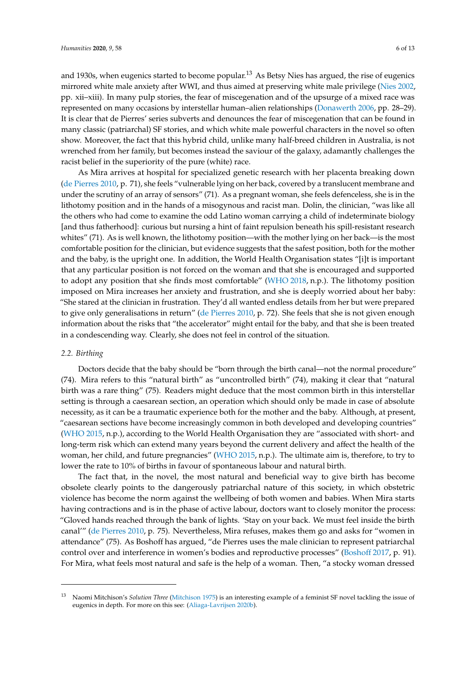and 1930s, when eugenics started to become popular.<sup>13</sup> As Betsy Nies has argued, the rise of eugenics mirrored white male anxiety after WWI, and thus aimed at preserving white male privilege [\(Nies](#page-11-18) [2002,](#page-11-18) pp. xii–xiii). In many pulp stories, the fear of miscegenation and of the upsurge of a mixed race was represented on many occasions by interstellar human–alien relationships [\(Donawerth](#page-11-19) [2006,](#page-11-19) pp. 28–29). It is clear that de Pierres' series subverts and denounces the fear of miscegenation that can be found in many classic (patriarchal) SF stories, and which white male powerful characters in the novel so often show. Moreover, the fact that this hybrid child, unlike many half-breed children in Australia, is not wrenched from her family, but becomes instead the saviour of the galaxy, adamantly challenges the racist belief in the superiority of the pure (white) race.

As Mira arrives at hospital for specialized genetic research with her placenta breaking down [\(de Pierres](#page-10-14) [2010,](#page-10-14) p. 71), she feels "vulnerable lying on her back, covered by a translucent membrane and under the scrutiny of an array of sensors" (71). As a pregnant woman, she feels defenceless, she is in the lithotomy position and in the hands of a misogynous and racist man. Dolin, the clinician, "was like all the others who had come to examine the odd Latino woman carrying a child of indeterminate biology [and thus fatherhood]: curious but nursing a hint of faint repulsion beneath his spill-resistant research whites" (71). As is well known, the lithotomy position—with the mother lying on her back—is the most comfortable position for the clinician, but evidence suggests that the safest position, both for the mother and the baby, is the upright one. In addition, the World Health Organisation states "[i]t is important that any particular position is not forced on the woman and that she is encouraged and supported to adopt any position that she finds most comfortable" [\(WHO](#page-12-12) [2018,](#page-12-12) n.p.). The lithotomy position imposed on Mira increases her anxiety and frustration, and she is deeply worried about her baby: "She stared at the clinician in frustration. They'd all wanted endless details from her but were prepared to give only generalisations in return" [\(de Pierres](#page-10-14) [2010,](#page-10-14) p. 72). She feels that she is not given enough information about the risks that "the accelerator" might entail for the baby, and that she is been treated in a condescending way. Clearly, she does not feel in control of the situation.

#### *2.2. Birthing*

Doctors decide that the baby should be "born through the birth canal—not the normal procedure" (74). Mira refers to this "natural birth" as "uncontrolled birth" (74), making it clear that "natural birth was a rare thing" (75). Readers might deduce that the most common birth in this interstellar setting is through a caesarean section, an operation which should only be made in case of absolute necessity, as it can be a traumatic experience both for the mother and the baby. Although, at present, "caesarean sections have become increasingly common in both developed and developing countries" [\(WHO](#page-12-13) [2015,](#page-12-13) n.p.), according to the World Health Organisation they are "associated with short- and long-term risk which can extend many years beyond the current delivery and affect the health of the woman, her child, and future pregnancies" [\(WHO](#page-12-13) [2015,](#page-12-13) n.p.). The ultimate aim is, therefore, to try to lower the rate to 10% of births in favour of spontaneous labour and natural birth.

The fact that, in the novel, the most natural and beneficial way to give birth has become obsolete clearly points to the dangerously patriarchal nature of this society, in which obstetric violence has become the norm against the wellbeing of both women and babies. When Mira starts having contractions and is in the phase of active labour, doctors want to closely monitor the process: "Gloved hands reached through the bank of lights. 'Stay on your back. We must feel inside the birth canal'" [\(de Pierres](#page-10-14) [2010,](#page-10-14) p. 75). Nevertheless, Mira refuses, makes them go and asks for "women in attendance" (75). As Boshoff has argued, "de Pierres uses the male clinician to represent patriarchal control over and interference in women's bodies and reproductive processes" [\(Bosho](#page-10-7)ff [2017,](#page-10-7) p. 91). For Mira, what feels most natural and safe is the help of a woman. Then, "a stocky woman dressed

<sup>13</sup> Naomi Mitchison's *Solution Three* [\(Mitchison](#page-11-20) [1975\)](#page-11-20) is an interesting example of a feminist SF novel tackling the issue of eugenics in depth. For more on this see: [\(Aliaga-Lavrijsen](#page-10-16) [2020b\)](#page-10-16).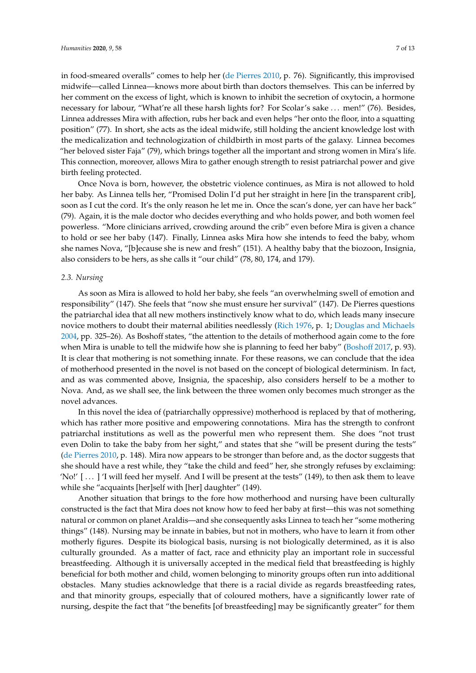in food-smeared overalls" comes to help her [\(de Pierres](#page-10-14) [2010,](#page-10-14) p. 76). Significantly, this improvised midwife—called Linnea—knows more about birth than doctors themselves. This can be inferred by her comment on the excess of light, which is known to inhibit the secretion of oxytocin, a hormone necessary for labour, "What're all these harsh lights for? For Scolar's sake . . . men!" (76). Besides, Linnea addresses Mira with affection, rubs her back and even helps "her onto the floor, into a squatting position" (77). In short, she acts as the ideal midwife, still holding the ancient knowledge lost with the medicalization and technologization of childbirth in most parts of the galaxy. Linnea becomes "her beloved sister Faja" (79), which brings together all the important and strong women in Mira's life. This connection, moreover, allows Mira to gather enough strength to resist patriarchal power and give birth feeling protected.

Once Nova is born, however, the obstetric violence continues, as Mira is not allowed to hold her baby. As Linnea tells her, "Promised Dolin I'd put her straight in here [in the transparent crib], soon as I cut the cord. It's the only reason he let me in. Once the scan's done, yer can have her back" (79). Again, it is the male doctor who decides everything and who holds power, and both women feel powerless. "More clinicians arrived, crowding around the crib" even before Mira is given a chance to hold or see her baby (147). Finally, Linnea asks Mira how she intends to feed the baby, whom she names Nova, "[b]ecause she is new and fresh" (151). A healthy baby that the biozoon, Insignia, also considers to be hers, as she calls it "our child" (78, 80, 174, and 179).

#### *2.3. Nursing*

As soon as Mira is allowed to hold her baby, she feels "an overwhelming swell of emotion and responsibility" (147). She feels that "now she must ensure her survival" (147). De Pierres questions the patriarchal idea that all new mothers instinctively know what to do, which leads many insecure novice mothers to doubt their maternal abilities needlessly [\(Rich](#page-12-4) [1976,](#page-12-4) p. 1; [Douglas and Michaels](#page-11-21) [2004,](#page-11-21) pp. 325–26). As Boshoff states, "the attention to the details of motherhood again come to the fore when Mira is unable to tell the midwife how she is planning to feed her baby" [\(Bosho](#page-10-7)ff [2017,](#page-10-7) p. 93). It is clear that mothering is not something innate. For these reasons, we can conclude that the idea of motherhood presented in the novel is not based on the concept of biological determinism. In fact, and as was commented above, Insignia, the spaceship, also considers herself to be a mother to Nova. And, as we shall see, the link between the three women only becomes much stronger as the novel advances.

In this novel the idea of (patriarchally oppressive) motherhood is replaced by that of mothering, which has rather more positive and empowering connotations. Mira has the strength to confront patriarchal institutions as well as the powerful men who represent them. She does "not trust even Dolin to take the baby from her sight," and states that she "will be present during the tests" [\(de Pierres](#page-10-14) [2010,](#page-10-14) p. 148). Mira now appears to be stronger than before and, as the doctor suggests that she should have a rest while, they "take the child and feed" her, she strongly refuses by exclaiming: 'No!' [ . . . ] 'I will feed her myself. And I will be present at the tests" (149), to then ask them to leave while she "acquaints [her]self with [her] daughter" (149).

Another situation that brings to the fore how motherhood and nursing have been culturally constructed is the fact that Mira does not know how to feed her baby at first—this was not something natural or common on planet Araldis—and she consequently asks Linnea to teach her "some mothering things" (148). Nursing may be innate in babies, but not in mothers, who have to learn it from other motherly figures. Despite its biological basis, nursing is not biologically determined, as it is also culturally grounded. As a matter of fact, race and ethnicity play an important role in successful breastfeeding. Although it is universally accepted in the medical field that breastfeeding is highly beneficial for both mother and child, women belonging to minority groups often run into additional obstacles. Many studies acknowledge that there is a racial divide as regards breastfeeding rates, and that minority groups, especially that of coloured mothers, have a significantly lower rate of nursing, despite the fact that "the benefits [of breastfeeding] may be significantly greater" for them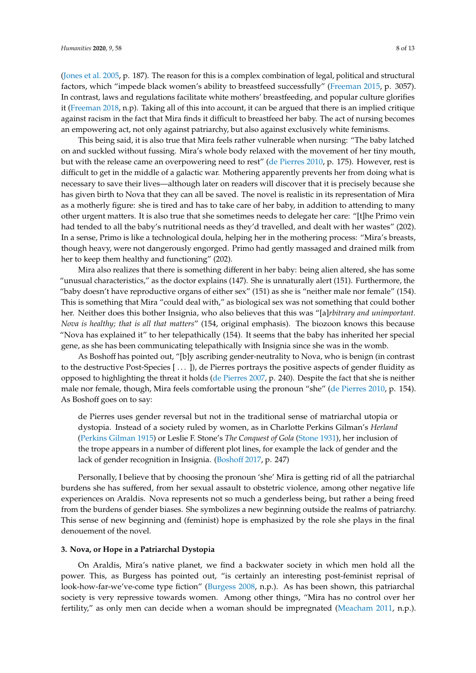[\(Jones et al.](#page-11-22) [2005,](#page-11-22) p. 187). The reason for this is a complex combination of legal, political and structural factors, which "impede black women's ability to breastfeed successfully" [\(Freeman](#page-11-23) [2015,](#page-11-23) p. 3057). In contrast, laws and regulations facilitate white mothers' breastfeeding, and popular culture glorifies it [\(Freeman](#page-11-24) [2018,](#page-11-24) n.p). Taking all of this into account, it can be argued that there is an implied critique against racism in the fact that Mira finds it difficult to breastfeed her baby. The act of nursing becomes an empowering act, not only against patriarchy, but also against exclusively white feminisms.

This being said, it is also true that Mira feels rather vulnerable when nursing: "The baby latched on and suckled without fussing. Mira's whole body relaxed with the movement of her tiny mouth, but with the release came an overpowering need to rest" [\(de Pierres](#page-10-14) [2010,](#page-10-14) p. 175). However, rest is difficult to get in the middle of a galactic war. Mothering apparently prevents her from doing what is necessary to save their lives—although later on readers will discover that it is precisely because she has given birth to Nova that they can all be saved. The novel is realistic in its representation of Mira as a motherly figure: she is tired and has to take care of her baby, in addition to attending to many other urgent matters. It is also true that she sometimes needs to delegate her care: "[t]he Primo vein had tended to all the baby's nutritional needs as they'd travelled, and dealt with her wastes" (202). In a sense, Primo is like a technological doula, helping her in the mothering process: "Mira's breasts, though heavy, were not dangerously engorged. Primo had gently massaged and drained milk from her to keep them healthy and functioning" (202).

Mira also realizes that there is something different in her baby: being alien altered, she has some "unusual characteristics," as the doctor explains (147). She is unnaturally alert (151). Furthermore, the "baby doesn't have reproductive organs of either sex" (151) as she is "neither male nor female" (154). This is something that Mira "could deal with," as biological sex was not something that could bother her. Neither does this bother Insignia, who also believes that this was "[a]*rbitrary and unimportant. Nova is healthy; that is all that matters*" (154, original emphasis). The biozoon knows this because "Nova has explained it" to her telepathically (154). It seems that the baby has inherited her special gene, as she has been communicating telepathically with Insignia since she was in the womb.

As Boshoff has pointed out, "[b]y ascribing gender-neutrality to Nova, who is benign (in contrast to the destructive Post-Species [ . . . ]), de Pierres portrays the positive aspects of gender fluidity as opposed to highlighting the threat it holds [\(de Pierres](#page-10-9) [2007,](#page-10-9) p. 240). Despite the fact that she is neither male nor female, though, Mira feels comfortable using the pronoun "she" [\(de Pierres](#page-10-14) [2010,](#page-10-14) p. 154). As Boshoff goes on to say:

de Pierres uses gender reversal but not in the traditional sense of matriarchal utopia or dystopia. Instead of a society ruled by women, as in Charlotte Perkins Gilman's *Herland* [\(Perkins Gilman](#page-11-25) [1915\)](#page-11-25) or Leslie F. Stone's *The Conquest of Gola* [\(Stone](#page-12-14) [1931\)](#page-12-14), her inclusion of the trope appears in a number of different plot lines, for example the lack of gender and the lack of gender recognition in Insignia. [\(Bosho](#page-10-7)ff [2017,](#page-10-7) p. 247)

Personally, I believe that by choosing the pronoun 'she' Mira is getting rid of all the patriarchal burdens she has suffered, from her sexual assault to obstetric violence, among other negative life experiences on Araldis. Nova represents not so much a genderless being, but rather a being freed from the burdens of gender biases. She symbolizes a new beginning outside the realms of patriarchy. This sense of new beginning and (feminist) hope is emphasized by the role she plays in the final denouement of the novel.

# **3. Nova, or Hope in a Patriarchal Dystopia**

On Araldis, Mira's native planet, we find a backwater society in which men hold all the power. This, as Burgess has pointed out, "is certainly an interesting post-feminist reprisal of look-how-far-we've-come type fiction" [\(Burgess](#page-10-10) [2008,](#page-10-10) n.p.). As has been shown, this patriarchal society is very repressive towards women. Among other things, "Mira has no control over her fertility," as only men can decide when a woman should be impregnated [\(Meacham](#page-11-12) [2011,](#page-11-12) n.p.).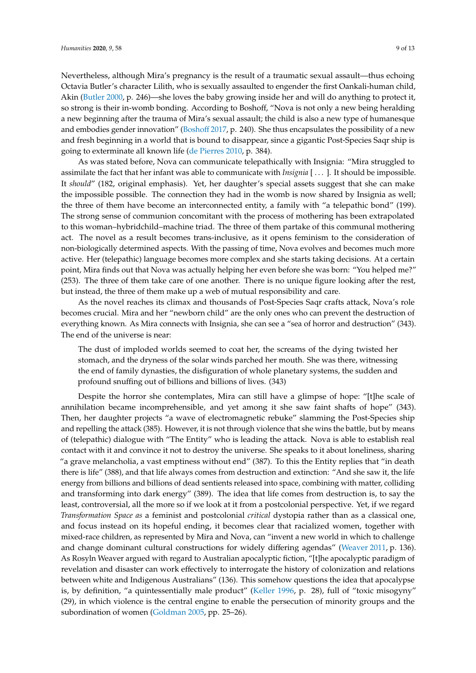Nevertheless, although Mira's pregnancy is the result of a traumatic sexual assault—thus echoing

Octavia Butler's character Lilith, who is sexually assaulted to engender the first Oankali-human child, Akin [\(Butler](#page-10-17) [2000,](#page-10-17) p. 246)—she loves the baby growing inside her and will do anything to protect it, so strong is their in-womb bonding. According to Boshoff, "Nova is not only a new being heralding a new beginning after the trauma of Mira's sexual assault; the child is also a new type of humanesque and embodies gender innovation" [\(Bosho](#page-10-7)ff [2017,](#page-10-7) p. 240). She thus encapsulates the possibility of a new and fresh beginning in a world that is bound to disappear, since a gigantic Post-Species Saqr ship is going to exterminate all known life [\(de Pierres](#page-10-14) [2010,](#page-10-14) p. 384).

As was stated before, Nova can communicate telepathically with Insignia: "Mira struggled to assimilate the fact that her infant was able to communicate with *Insignia* [ . . . ]. It should be impossible. It *should*" (182, original emphasis). Yet, her daughter's special assets suggest that she can make the impossible possible. The connection they had in the womb is now shared by Insignia as well; the three of them have become an interconnected entity, a family with "a telepathic bond" (199). The strong sense of communion concomitant with the process of mothering has been extrapolated to this woman–hybridchild–machine triad. The three of them partake of this communal mothering act. The novel as a result becomes trans-inclusive, as it opens feminism to the consideration of non-biologically determined aspects. With the passing of time, Nova evolves and becomes much more active. Her (telepathic) language becomes more complex and she starts taking decisions. At a certain point, Mira finds out that Nova was actually helping her even before she was born: "You helped me?" (253). The three of them take care of one another. There is no unique figure looking after the rest, but instead, the three of them make up a web of mutual responsibility and care.

As the novel reaches its climax and thousands of Post-Species Saqr crafts attack, Nova's role becomes crucial. Mira and her "newborn child" are the only ones who can prevent the destruction of everything known. As Mira connects with Insignia, she can see a "sea of horror and destruction" (343). The end of the universe is near:

The dust of imploded worlds seemed to coat her, the screams of the dying twisted her stomach, and the dryness of the solar winds parched her mouth. She was there, witnessing the end of family dynasties, the disfiguration of whole planetary systems, the sudden and profound snuffing out of billions and billions of lives. (343)

Despite the horror she contemplates, Mira can still have a glimpse of hope: "[t]he scale of annihilation became incomprehensible, and yet among it she saw faint shafts of hope" (343). Then, her daughter projects "a wave of electromagnetic rebuke" slamming the Post-Species ship and repelling the attack (385). However, it is not through violence that she wins the battle, but by means of (telepathic) dialogue with "The Entity" who is leading the attack. Nova is able to establish real contact with it and convince it not to destroy the universe. She speaks to it about loneliness, sharing "a grave melancholia, a vast emptiness without end" (387). To this the Entity replies that "in death there is life" (388), and that life always comes from destruction and extinction: "And she saw it, the life energy from billions and billions of dead sentients released into space, combining with matter, colliding and transforming into dark energy" (389). The idea that life comes from destruction is, to say the least, controversial, all the more so if we look at it from a postcolonial perspective. Yet, if we regard *Transformation Space as* a feminist and postcolonial *critical* dystopia rather than as a classical one, and focus instead on its hopeful ending, it becomes clear that racialized women, together with mixed-race children, as represented by Mira and Nova, can "invent a new world in which to challenge and change dominant cultural constructions for widely differing agendas" [\(Weaver](#page-12-6) [2011,](#page-12-6) p. 136). As Rosyln Weaver argued with regard to Australian apocalyptic fiction, "[t]he apocalyptic paradigm of revelation and disaster can work effectively to interrogate the history of colonization and relations between white and Indigenous Australians" (136). This somehow questions the idea that apocalypse is, by definition, "a quintessentially male product" [\(Keller](#page-11-26) [1996,](#page-11-26) p. 28), full of "toxic misogyny" (29), in which violence is the central engine to enable the persecution of minority groups and the subordination of women [\(Goldman](#page-11-27) [2005,](#page-11-27) pp. 25–26).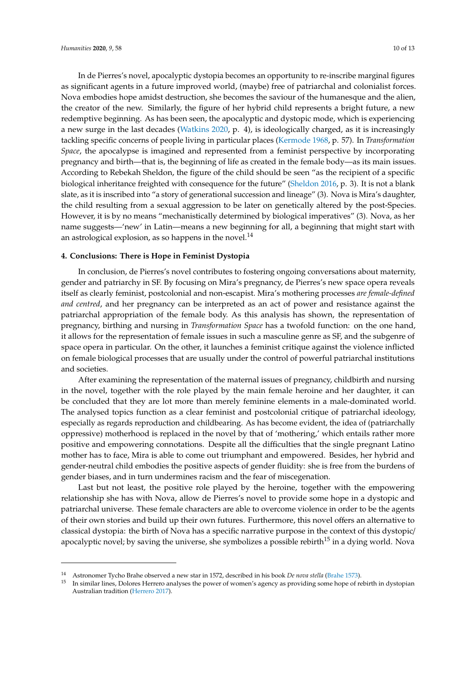In de Pierres's novel, apocalyptic dystopia becomes an opportunity to re-inscribe marginal figures as significant agents in a future improved world, (maybe) free of patriarchal and colonialist forces. Nova embodies hope amidst destruction, she becomes the saviour of the humanesque and the alien, the creator of the new. Similarly, the figure of her hybrid child represents a bright future, a new redemptive beginning. As has been seen, the apocalyptic and dystopic mode, which is experiencing a new surge in the last decades [\(Watkins](#page-12-15) [2020,](#page-12-15) p. 4), is ideologically charged, as it is increasingly tackling specific concerns of people living in particular places [\(Kermode](#page-11-28) [1968,](#page-11-28) p. 57). In *Transformation Space*, the apocalypse is imagined and represented from a feminist perspective by incorporating pregnancy and birth—that is, the beginning of life as created in the female body—as its main issues. According to Rebekah Sheldon, the figure of the child should be seen "as the recipient of a specific biological inheritance freighted with consequence for the future" [\(Sheldon](#page-12-16) [2016,](#page-12-16) p. 3). It is not a blank slate, as it is inscribed into "a story of generational succession and lineage" (3). Nova is Mira's daughter, the child resulting from a sexual aggression to be later on genetically altered by the post-Species. However, it is by no means "mechanistically determined by biological imperatives" (3). Nova, as her name suggests—'new' in Latin—means a new beginning for all, a beginning that might start with an astrological explosion, as so happens in the novel. $^{14}$ 

## **4. Conclusions: There is Hope in Feminist Dystopia**

In conclusion, de Pierres's novel contributes to fostering ongoing conversations about maternity, gender and patriarchy in SF. By focusing on Mira's pregnancy, de Pierres's new space opera reveals itself as clearly feminist, postcolonial and non-escapist. Mira's mothering processes *are female-defined and centred*, and her pregnancy can be interpreted as an act of power and resistance against the patriarchal appropriation of the female body. As this analysis has shown, the representation of pregnancy, birthing and nursing in *Transformation Space* has a twofold function: on the one hand, it allows for the representation of female issues in such a masculine genre as SF, and the subgenre of space opera in particular. On the other, it launches a feminist critique against the violence inflicted on female biological processes that are usually under the control of powerful patriarchal institutions and societies.

After examining the representation of the maternal issues of pregnancy, childbirth and nursing in the novel, together with the role played by the main female heroine and her daughter, it can be concluded that they are lot more than merely feminine elements in a male-dominated world. The analysed topics function as a clear feminist and postcolonial critique of patriarchal ideology, especially as regards reproduction and childbearing. As has become evident, the idea of (patriarchally oppressive) motherhood is replaced in the novel by that of 'mothering,' which entails rather more positive and empowering connotations. Despite all the difficulties that the single pregnant Latino mother has to face, Mira is able to come out triumphant and empowered. Besides, her hybrid and gender-neutral child embodies the positive aspects of gender fluidity: she is free from the burdens of gender biases, and in turn undermines racism and the fear of miscegenation.

Last but not least, the positive role played by the heroine, together with the empowering relationship she has with Nova, allow de Pierres's novel to provide some hope in a dystopic and patriarchal universe. These female characters are able to overcome violence in order to be the agents of their own stories and build up their own futures. Furthermore, this novel offers an alternative to classical dystopia: the birth of Nova has a specific narrative purpose in the context of this dystopic/ apocalyptic novel; by saving the universe, she symbolizes a possible rebirth<sup>15</sup> in a dying world. Nova

<sup>14</sup> Astronomer Tycho Brahe observed a new star in 1572, described in his book *De nova stella* [\(Brahe](#page-10-18) [1573\)](#page-10-18).

<sup>15</sup> In similar lines, Dolores Herrero analyses the power of women's agency as providing some hope of rebirth in dystopian Australian tradition [\(Herrero](#page-11-29) [2017\)](#page-11-29).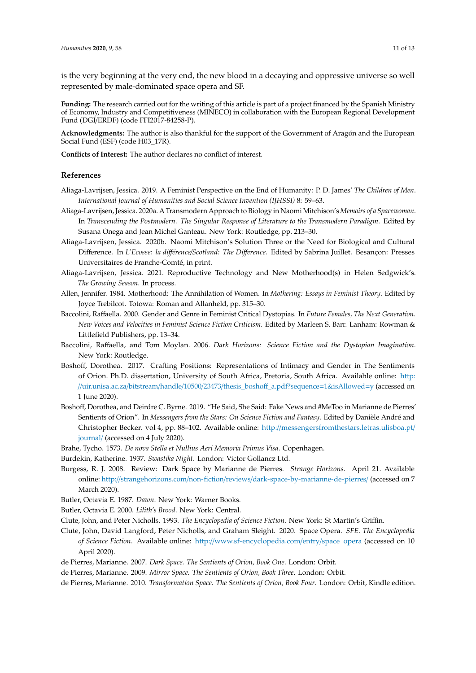is the very beginning at the very end, the new blood in a decaying and oppressive universe so well represented by male-dominated space opera and SF.

**Funding:** The research carried out for the writing of this article is part of a project financed by the Spanish Ministry of Economy, Industry and Competitiveness (MINECO) in collaboration with the European Regional Development Fund (DGI/ERDF) (code FFI2017-84258-P).

**Acknowledgments:** The author is also thankful for the support of the Government of Aragón and the European Social Fund (ESF) (code H03\_17R).

**Conflicts of Interest:** The author declares no conflict of interest.

#### **References**

- <span id="page-10-2"></span>Aliaga-Lavrijsen, Jessica. 2019. A Feminist Perspective on the End of Humanity: P. D. James' *The Children of Men*. *International Journal of Humanities and Social Science Invention (IJHSSI)* 8: 59–63.
- <span id="page-10-13"></span>Aliaga-Lavrijsen, Jessica. 2020a. A Transmodern Approach to Biology in Naomi Mitchison's *Memoirs of a Spacewoman*. In *Transcending the Postmodern. The Singular Response of Literature to the Transmodern Paradigm*. Edited by Susana Onega and Jean Michel Ganteau. New York: Routledge, pp. 213–30.
- <span id="page-10-16"></span>Aliaga-Lavrijsen, Jessica. 2020b. Naomi Mitchison's Solution Three or the Need for Biological and Cultural Difference. In *L'Ecosse: la di*ff*érence*/*Scotland: The Di*ff*erence*. Edited by Sabrina Juillet. Besançon: Presses Universitaires de Franche-Comté, in print.
- <span id="page-10-8"></span>Aliaga-Lavrijsen, Jessica. 2021. Reproductive Technology and New Motherhood(s) in Helen Sedgwick's. *The Growing Season*. In process.
- <span id="page-10-6"></span>Allen, Jennifer. 1984. Motherhood: The Annihilation of Women. In *Mothering: Essays in Feminist Theory*. Edited by Joyce Trebilcot. Totowa: Roman and Allanheld, pp. 315–30.
- <span id="page-10-3"></span>Baccolini, Raffaella. 2000. Gender and Genre in Feminist Critical Dystopias. In *Future Females, The Next Generation. New Voices and Velocities in Feminist Science Fiction Criticism*. Edited by Marleen S. Barr. Lanham: Rowman & Littlefield Publishers, pp. 13–34.
- <span id="page-10-4"></span>Baccolini, Raffaella, and Tom Moylan. 2006. *Dark Horizons: Science Fiction and the Dystopian Imagination*. New York: Routledge.
- <span id="page-10-7"></span>Boshoff, Dorothea. 2017. Crafting Positions: Representations of Intimacy and Gender in The Sentiments of Orion. Ph.D. dissertation, University of South Africa, Pretoria, South Africa. Available online: [http:](http://uir.unisa.ac.za/bitstream/handle/10500/23473/thesis_boshoff_a.pdf?sequence=1&isAllowed=y) //uir.unisa.ac.za/bitstream/handle/10500/23473/thesis\_boshoff[\\_a.pdf?sequence](http://uir.unisa.ac.za/bitstream/handle/10500/23473/thesis_boshoff_a.pdf?sequence=1&isAllowed=y)=1&isAllowed=y (accessed on 1 June 2020).
- <span id="page-10-15"></span>Boshoff, Dorothea, and Deirdre C. Byrne. 2019. "He Said, She Said: Fake News and #MeToo in Marianne de Pierres' Sentients of Orion". In *Messengers from the Stars: On Science Fiction and Fantasy*. Edited by Danièle André and Christopher Becker. vol 4, pp. 88–102. Available online: http://[messengersfromthestars.letras.ulisboa.pt](http://messengersfromthestars.letras.ulisboa.pt/journal/)/ [journal](http://messengersfromthestars.letras.ulisboa.pt/journal/)/ (accessed on 4 July 2020).
- <span id="page-10-18"></span>Brahe, Tycho. 1573. *De nova Stella et Nullius Aeri Memoria Primus Visa*. Copenhagen.
- <span id="page-10-5"></span>Burdekin, Katherine. 1937. *Swastika Night*. London: Victor Gollancz Ltd.
- <span id="page-10-10"></span>Burgess, R. J. 2008. Review: Dark Space by Marianne de Pierres. *Strange Horizons*. April 21. Available online: http://strangehorizons.com/non-fiction/reviews/[dark-space-by-marianne-de-pierres](http://strangehorizons.com/non-fiction/reviews/dark-space-by-marianne-de-pierres/)/ (accessed on 7 March 2020).
- <span id="page-10-12"></span>Butler, Octavia E. 1987. *Dawn*. New York: Warner Books.
- <span id="page-10-17"></span>Butler, Octavia E. 2000. *Lilith's Brood*. New York: Central.
- <span id="page-10-0"></span>Clute, John, and Peter Nicholls. 1993. *The Encyclopedia of Science Fiction*. New York: St Martin's Griffin.
- <span id="page-10-1"></span>Clute, John, David Langford, Peter Nicholls, and Graham Sleight. 2020. Space Opera. *SFE. The Encyclopedia of Science Fiction*. Available online: http://[www.sf-encyclopedia.com](http://www.sf-encyclopedia.com/entry/space_opera)/entry/space\_opera (accessed on 10 April 2020).
- <span id="page-10-9"></span>de Pierres, Marianne. 2007. *Dark Space. The Sentients of Orion, Book One*. London: Orbit.
- <span id="page-10-14"></span><span id="page-10-11"></span>de Pierres, Marianne. 2009. *Mirror Space. The Sentients of Orion, Book Three*. London: Orbit.
- de Pierres, Marianne. 2010. *Transformation Space. The Sentients of Orion, Book Four*. London: Orbit, Kindle edition.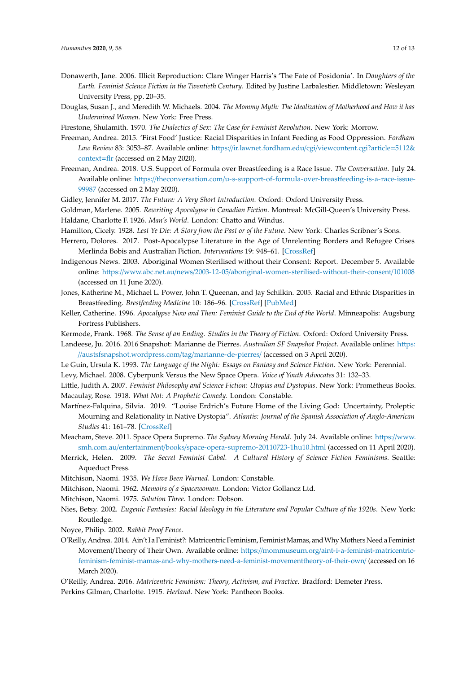- <span id="page-11-19"></span>Donawerth, Jane. 2006. Illicit Reproduction: Clare Winger Harris's 'The Fate of Posidonia'. In *Daughters of the Earth. Feminist Science Fiction in the Twentieth Century*. Edited by Justine Larbalestier. Middletown: Wesleyan University Press, pp. 20–35.
- <span id="page-11-21"></span>Douglas, Susan J., and Meredith W. Michaels. 2004. *The Mommy Myth: The Idealization of Motherhood and How it has Undermined Women*. New York: Free Press.

<span id="page-11-6"></span>Firestone, Shulamith. 1970. *The Dialectics of Sex: The Case for Feminist Revolution*. New York: Morrow.

- <span id="page-11-23"></span>Freeman, Andrea. 2015. 'First Food' Justice: Racial Disparities in Infant Feeding as Food Oppression. *Fordham Law Review* 83: 3053–87. Available online: https://ir.lawnet.fordham.edu/cgi/[viewcontent.cgi?article](https://ir.lawnet.fordham.edu/cgi/viewcontent.cgi?article=5112&context=flr)=5112& [context](https://ir.lawnet.fordham.edu/cgi/viewcontent.cgi?article=5112&context=flr)=flr (accessed on 2 May 2020).
- <span id="page-11-24"></span>Freeman, Andrea. 2018. U.S. Support of Formula over Breastfeeding is a Race Issue. *The Conversation*. July 24. Available online: https://theconversation.com/[u-s-support-of-formula-over-breastfeeding-is-a-race-issue-](https://theconversation.com/u-s-support-of-formula-over-breastfeeding-is-a-race-issue-99987)[99987](https://theconversation.com/u-s-support-of-formula-over-breastfeeding-is-a-race-issue-99987) (accessed on 2 May 2020).
- <span id="page-11-8"></span>Gidley, Jennifer M. 2017. *The Future: A Very Short Introduction*. Oxford: Oxford University Press.
- <span id="page-11-27"></span><span id="page-11-2"></span>Goldman, Marlene. 2005. *Rewriting Apocalypse in Canadian Fiction*. Montreal: McGill-Queen's University Press.
- Haldane, Charlotte F. 1926. *Man's World*. London: Chatto and Windus.
- <span id="page-11-3"></span>Hamilton, Cicely. 1928. *Lest Ye Die: A Story from the Past or of the Future*. New York: Charles Scribner's Sons.
- <span id="page-11-29"></span>Herrero, Dolores. 2017. Post-Apocalypse Literature in the Age of Unrelenting Borders and Refugee Crises Merlinda Bobis and Australian Fiction. *Interventions* 19: 948–61. [\[CrossRef\]](http://dx.doi.org/10.1080/1369801X.2017.1401949)
- <span id="page-11-17"></span>Indigenous News. 2003. Aboriginal Women Sterilised without their Consent: Report. December 5. Available online: https://www.abc.net.au/news/2003-12-05/[aboriginal-women-sterilised-without-their-consent](https://www.abc.net.au/news/2003-12-05/aboriginal-women-sterilised-without-their-consent/101008)/101008 (accessed on 11 June 2020).
- <span id="page-11-22"></span>Jones, Katherine M., Michael L. Power, John T. Queenan, and Jay Schilkin. 2005. Racial and Ethnic Disparities in Breastfeeding. *Brestfeeding Medicine* 10: 186–96. [\[CrossRef\]](http://dx.doi.org/10.1089/bfm.2014.0152) [\[PubMed\]](http://www.ncbi.nlm.nih.gov/pubmed/25831234)
- <span id="page-11-26"></span>Keller, Catherine. 1996. *Apocalypse Now and Then: Feminist Guide to the End of the World*. Minneapolis: Augsburg Fortress Publishers.
- <span id="page-11-28"></span>Kermode, Frank. 1968. *The Sense of an Ending. Studies in the Theory of Fiction*. Oxford: Oxford University Press.
- <span id="page-11-11"></span>Landeese, Ju. 2016. 2016 Snapshot: Marianne de Pierres. *Australian SF Snapshot Project.* Available online: [https:](https://austsfsnapshot.wordpress.com/tag/marianne-de-pierres/) //[austsfsnapshot.wordpress.com](https://austsfsnapshot.wordpress.com/tag/marianne-de-pierres/)/tag/marianne-de-pierres/ (accessed on 3 April 2020).
- <span id="page-11-13"></span><span id="page-11-0"></span>Le Guin, Ursula K. 1993. *The Language of the Night: Essays on Fantasy and Science Fiction*. New York: Perennial. Levy, Michael. 2008. Cyberpunk Versus the New Space Opera. *Voice of Youth Advocates* 31: 132–33.
- <span id="page-11-5"></span><span id="page-11-1"></span>Little, Judith A. 2007. *Feminist Philosophy and Science Fiction: Utopias and Dystopias*. New York: Prometheus Books. Macaulay, Rose. 1918. *What Not: A Prophetic Comedy*. London: Constable.
- <span id="page-11-15"></span>Martínez-Falquina, Silvia. 2019. "Louise Erdrich's Future Home of the Living God: Uncertainty, Proleptic Mourning and Relationality in Native Dystopia". *Atlantis: Journal of the Spanish Association of Anglo-American Studies* 41: 161–78. [\[CrossRef\]](http://dx.doi.org/10.28914/Atlantis-2019-41.2.08)
- <span id="page-11-12"></span>Meacham, Steve. 2011. Space Opera Supremo. *The Sydney Morning Herald*. July 24. Available online: https://[www.](https://www.smh.com.au/entertainment/books/space-opera-supremo-20110723-1hu10.html) smh.com.au/entertainment/books/[space-opera-supremo-20110723-1hu10.html](https://www.smh.com.au/entertainment/books/space-opera-supremo-20110723-1hu10.html) (accessed on 11 April 2020).
- <span id="page-11-7"></span>Merrick, Helen. 2009. *The Secret Feminist Cabal. A Cultural History of Science Fiction Feminisms*. Seattle: Aqueduct Press.

<span id="page-11-4"></span>Mitchison, Naomi. 1935. *We Have Been Warned*. London: Constable.

- <span id="page-11-14"></span>Mitchison, Naomi. 1962. *Memoirs of a Spacewoman*. London: Victor Gollancz Ltd.
- <span id="page-11-20"></span><span id="page-11-18"></span>Mitchison, Naomi. 1975. *Solution Three*. London: Dobson.
- Nies, Betsy. 2002. *Eugenic Fantasies: Racial Ideology in the Literature and Popular Culture of the 1920s*. New York: Routledge.

<span id="page-11-16"></span>Noyce, Philip. 2002. *Rabbit Proof Fence*.

- <span id="page-11-10"></span>O'Reilly, Andrea. 2014. Ain't I a Feminist?: Matricentric Feminism, Feminist Mamas, and Why Mothers Need a Feminist Movement/Theory of Their Own. Available online: https://mommuseum.org/[aint-i-a-feminist-matricentric](https://mommuseum.org/aint-i-a-feminist-matricentric-feminism-feminist-mamas-and-why-mothers-need-a-feminist-movementtheory-of-their-own/)[feminism-feminist-mamas-and-why-mothers-need-a-feminist-movementtheory-of-their-own](https://mommuseum.org/aint-i-a-feminist-matricentric-feminism-feminist-mamas-and-why-mothers-need-a-feminist-movementtheory-of-their-own/)/ (accessed on 16 March 2020).
- <span id="page-11-25"></span><span id="page-11-9"></span>O'Reilly, Andrea. 2016. *Matricentric Feminism: Theory, Activism, and Practice*. Bradford: Demeter Press. Perkins Gilman, Charlotte. 1915. *Herland*. New York: Pantheon Books.